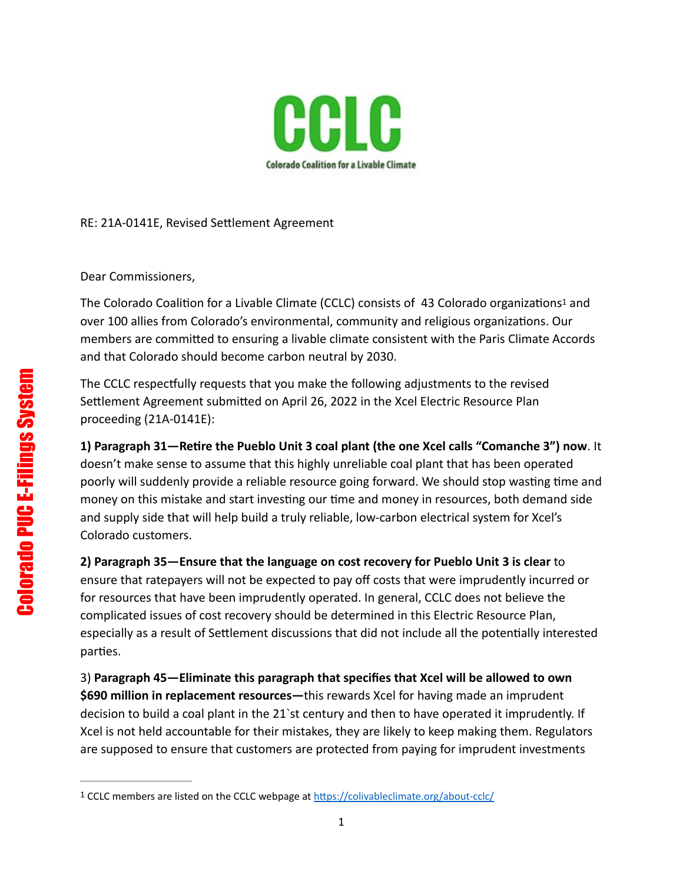<span id="page-0-1"></span>

## RE: 21A-0141E, Revised Settlement Agreement

Dear Commissioners,

The Colorado Coalition for a Livable Climate (CCLC) con[s](#page-0-0)ists of 43 Colorado organizations<sup>[1](#page-0-0)</sup> and over 100 allies from Colorado's environmental, community and religious organizations. Our members are committed to ensuring a livable climate consistent with the Paris Climate Accords and that Colorado should become carbon neutral by 2030.

The CCLC respectfully requests that you make the following adjustments to the revised Settlement Agreement submitted on April 26, 2022 in the Xcel Electric Resource Plan proceeding (21A-0141E):

**1) Paragraph 31—Retire the Pueblo Unit 3 coal plant (the one Xcel calls "Comanche 3") now**. It doesn't make sense to assume that this highly unreliable coal plant that has been operated poorly will suddenly provide a reliable resource going forward. We should stop wasting time and money on this mistake and start investing our time and money in resources, both demand side and supply side that will help build a truly reliable, low-carbon electrical system for Xcel's Colorado customers.

**2) Paragraph 35—Ensure that the language on cost recovery for Pueblo Unit 3 is clear** to ensure that ratepayers will not be expected to pay off costs that were imprudently incurred or for resources that have been imprudently operated. In general, CCLC does not believe the complicated issues of cost recovery should be determined in this Electric Resource Plan, especially as a result of Settlement discussions that did not include all the potentially interested parties.

3) **Paragraph 45—Eliminate this paragraph that specifies that Xcel will be allowed to own \$690 million in replacement resources—**this rewards Xcel for having made an imprudent decision to build a coal plant in the 21`st century and then to have operated it imprudently. If Xcel is not held accountable for their mistakes, they are likely to keep making them. Regulators are supposed to ensure that customers are protected from paying for imprudent investments

<span id="page-0-0"></span><sup>&</sup>lt;sup>1</sup> CCLC members are listed on the CCLC webpage at<https://colivableclimate.org/about-cclc/>